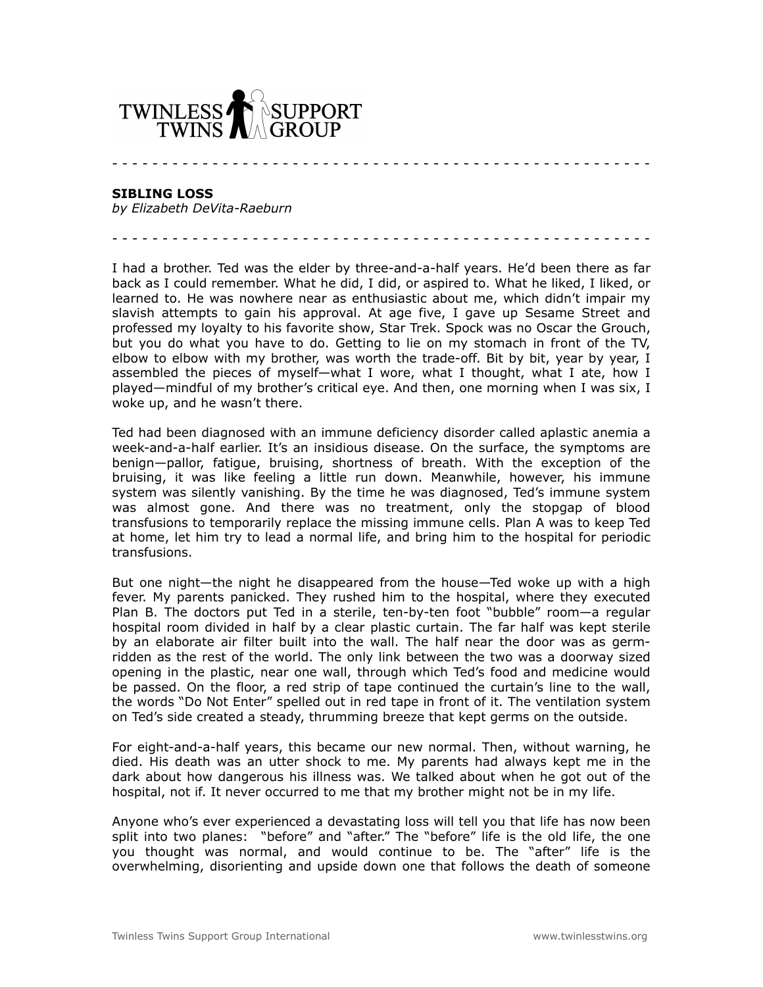

**SIBLING LOSS**

*by Elizabeth DeVita-Raeburn*

I had a brother. Ted was the elder by three-and-a-half years. He'd been there as far back as I could remember. What he did, I did, or aspired to. What he liked, I liked, or learned to. He was nowhere near as enthusiastic about me, which didn't impair my slavish attempts to gain his approval. At age five, I gave up Sesame Street and professed my loyalty to his favorite show, Star Trek. Spock was no Oscar the Grouch, but you do what you have to do. Getting to lie on my stomach in front of the TV, elbow to elbow with my brother, was worth the trade-off. Bit by bit, year by year, I assembled the pieces of myself—what I wore, what I thought, what I ate, how I played—mindful of my brother's critical eye. And then, one morning when I was six, I woke up, and he wasn't there.

- - - - - - - - - - - - - - - - - - - - - - - - - - - - - - - - - - - - - - - - - - - - - - - - - - - - - -

- - - - - - - - - - - - - - - - - - - - - - - - - - - - - - - - - - - - - - - - - - - - - - - - - - - - - -

Ted had been diagnosed with an immune deficiency disorder called aplastic anemia a week-and-a-half earlier. It's an insidious disease. On the surface, the symptoms are benign—pallor, fatigue, bruising, shortness of breath. With the exception of the bruising, it was like feeling a little run down. Meanwhile, however, his immune system was silently vanishing. By the time he was diagnosed, Ted's immune system was almost gone. And there was no treatment, only the stopgap of blood transfusions to temporarily replace the missing immune cells. Plan A was to keep Ted at home, let him try to lead a normal life, and bring him to the hospital for periodic transfusions.

But one night—the night he disappeared from the house—Ted woke up with a high fever. My parents panicked. They rushed him to the hospital, where they executed Plan B. The doctors put Ted in a sterile, ten-by-ten foot "bubble" room—a regular hospital room divided in half by a clear plastic curtain. The far half was kept sterile by an elaborate air filter built into the wall. The half near the door was as germridden as the rest of the world. The only link between the two was a doorway sized opening in the plastic, near one wall, through which Ted's food and medicine would be passed. On the floor, a red strip of tape continued the curtain's line to the wall, the words "Do Not Enter" spelled out in red tape in front of it. The ventilation system on Ted's side created a steady, thrumming breeze that kept germs on the outside.

For eight-and-a-half years, this became our new normal. Then, without warning, he died. His death was an utter shock to me. My parents had always kept me in the dark about how dangerous his illness was. We talked about when he got out of the hospital, not if. It never occurred to me that my brother might not be in my life.

Anyone who's ever experienced a devastating loss will tell you that life has now been split into two planes: "before" and "after." The "before" life is the old life, the one you thought was normal, and would continue to be. The "after" life is the overwhelming, disorienting and upside down one that follows the death of someone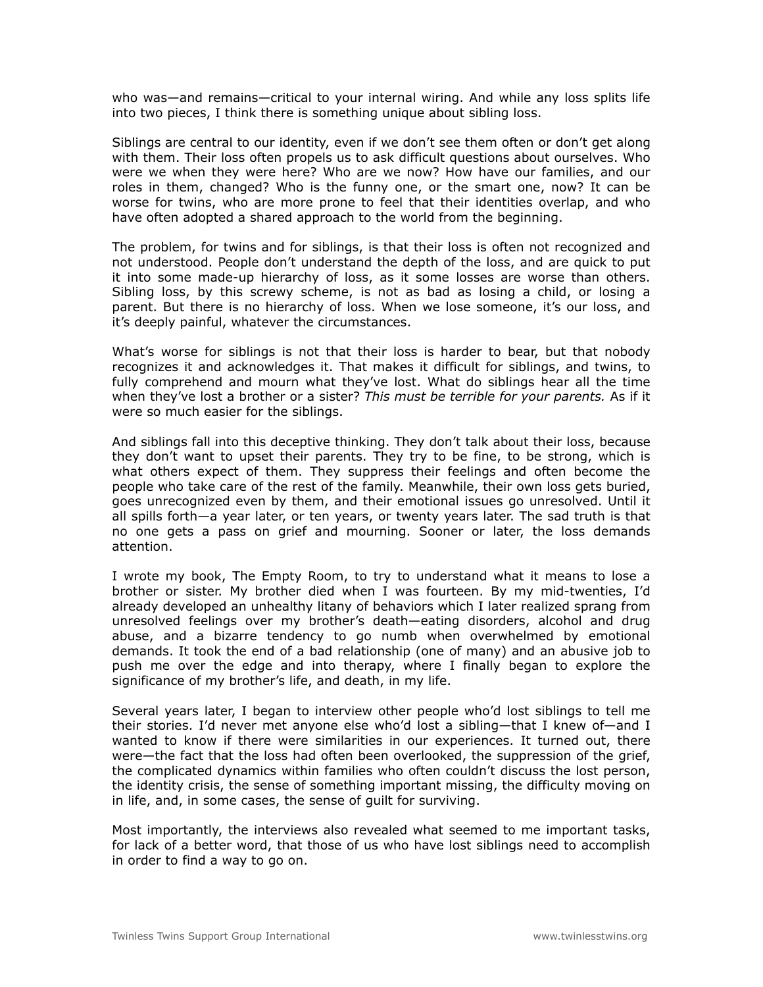who was—and remains—critical to your internal wiring. And while any loss splits life into two pieces, I think there is something unique about sibling loss.

Siblings are central to our identity, even if we don't see them often or don't get along with them. Their loss often propels us to ask difficult questions about ourselves. Who were we when they were here? Who are we now? How have our families, and our roles in them, changed? Who is the funny one, or the smart one, now? It can be worse for twins, who are more prone to feel that their identities overlap, and who have often adopted a shared approach to the world from the beginning.

The problem, for twins and for siblings, is that their loss is often not recognized and not understood. People don't understand the depth of the loss, and are quick to put it into some made-up hierarchy of loss, as it some losses are worse than others. Sibling loss, by this screwy scheme, is not as bad as losing a child, or losing a parent. But there is no hierarchy of loss. When we lose someone, it's our loss, and it's deeply painful, whatever the circumstances.

What's worse for siblings is not that their loss is harder to bear, but that nobody recognizes it and acknowledges it. That makes it difficult for siblings, and twins, to fully comprehend and mourn what they've lost. What do siblings hear all the time when they've lost a brother or a sister? *This must be terrible for your parents.* As if it were so much easier for the siblings.

And siblings fall into this deceptive thinking. They don't talk about their loss, because they don't want to upset their parents. They try to be fine, to be strong, which is what others expect of them. They suppress their feelings and often become the people who take care of the rest of the family. Meanwhile, their own loss gets buried, goes unrecognized even by them, and their emotional issues go unresolved. Until it all spills forth—a year later, or ten years, or twenty years later. The sad truth is that no one gets a pass on grief and mourning. Sooner or later, the loss demands attention.

I wrote my book, The Empty Room, to try to understand what it means to lose a brother or sister. My brother died when I was fourteen. By my mid-twenties, I'd already developed an unhealthy litany of behaviors which I later realized sprang from unresolved feelings over my brother's death—eating disorders, alcohol and drug abuse, and a bizarre tendency to go numb when overwhelmed by emotional demands. It took the end of a bad relationship (one of many) and an abusive job to push me over the edge and into therapy, where I finally began to explore the significance of my brother's life, and death, in my life.

Several years later, I began to interview other people who'd lost siblings to tell me their stories. I'd never met anyone else who'd lost a sibling—that I knew of—and I wanted to know if there were similarities in our experiences. It turned out, there were—the fact that the loss had often been overlooked, the suppression of the grief, the complicated dynamics within families who often couldn't discuss the lost person, the identity crisis, the sense of something important missing, the difficulty moving on in life, and, in some cases, the sense of guilt for surviving.

Most importantly, the interviews also revealed what seemed to me important tasks, for lack of a better word, that those of us who have lost siblings need to accomplish in order to find a way to go on.